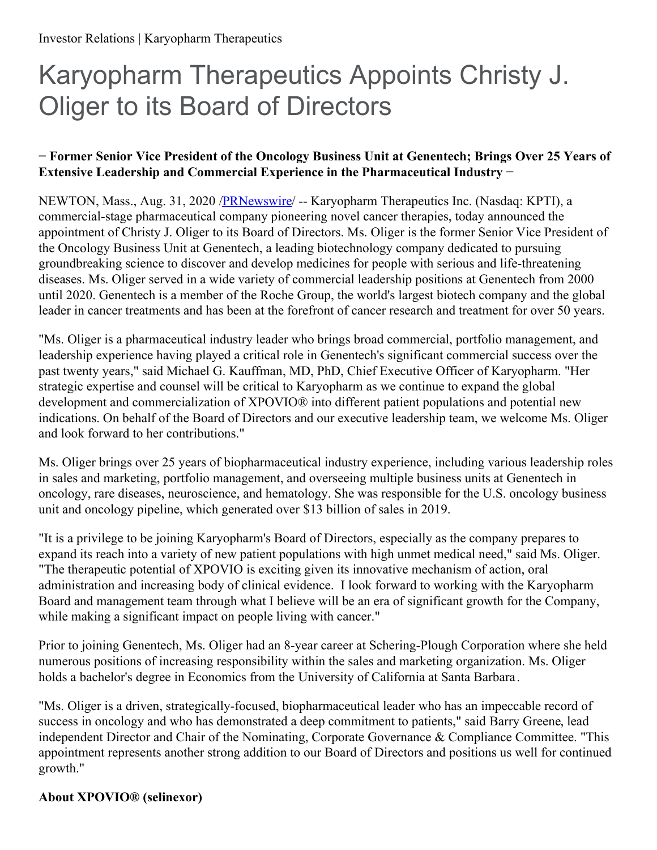# Karyopharm Therapeutics Appoints Christy J. Oliger to its Board of Directors

### **− Former Senior Vice President of the Oncology Business Unit at Genentech; Brings Over 25 Years of Extensive Leadership and Commercial Experience in the Pharmaceutical Industry −**

NEWTON, Mass., Aug. 31, 2020 [/PRNewswire](http://www.prnewswire.com/)/ -- Karyopharm Therapeutics Inc. (Nasdaq: KPTI), a commercial-stage pharmaceutical company pioneering novel cancer therapies, today announced the appointment of Christy J. Oliger to its Board of Directors. Ms. Oliger is the former Senior Vice President of the Oncology Business Unit at Genentech, a leading biotechnology company dedicated to pursuing groundbreaking science to discover and develop medicines for people with serious and life-threatening diseases. Ms. Oliger served in a wide variety of commercial leadership positions at Genentech from 2000 until 2020. Genentech is a member of the Roche Group, the world's largest biotech company and the global leader in cancer treatments and has been at the forefront of cancer research and treatment for over 50 years.

"Ms. Oliger is a pharmaceutical industry leader who brings broad commercial, portfolio management, and leadership experience having played a critical role in Genentech's significant commercial success over the past twenty years," said Michael G. Kauffman, MD, PhD, Chief Executive Officer of Karyopharm. "Her strategic expertise and counsel will be critical to Karyopharm as we continue to expand the global development and commercialization of XPOVIO® into different patient populations and potential new indications. On behalf of the Board of Directors and our executive leadership team, we welcome Ms. Oliger and look forward to her contributions."

Ms. Oliger brings over 25 years of biopharmaceutical industry experience, including various leadership roles in sales and marketing, portfolio management, and overseeing multiple business units at Genentech in oncology, rare diseases, neuroscience, and hematology. She was responsible for the U.S. oncology business unit and oncology pipeline, which generated over \$13 billion of sales in 2019.

"It is a privilege to be joining Karyopharm's Board of Directors, especially as the company prepares to expand its reach into a variety of new patient populations with high unmet medical need," said Ms. Oliger. "The therapeutic potential of XPOVIO is exciting given its innovative mechanism of action, oral administration and increasing body of clinical evidence. I look forward to working with the Karyopharm Board and management team through what I believe will be an era of significant growth for the Company, while making a significant impact on people living with cancer."

Prior to joining Genentech, Ms. Oliger had an 8-year career at Schering-Plough Corporation where she held numerous positions of increasing responsibility within the sales and marketing organization. Ms. Oliger holds a bachelor's degree in Economics from the University of California at Santa Barbara.

"Ms. Oliger is a driven, strategically-focused, biopharmaceutical leader who has an impeccable record of success in oncology and who has demonstrated a deep commitment to patients," said Barry Greene, lead independent Director and Chair of the Nominating, Corporate Governance & Compliance Committee. "This appointment represents another strong addition to our Board of Directors and positions us well for continued growth."

## **About XPOVIO® (selinexor)**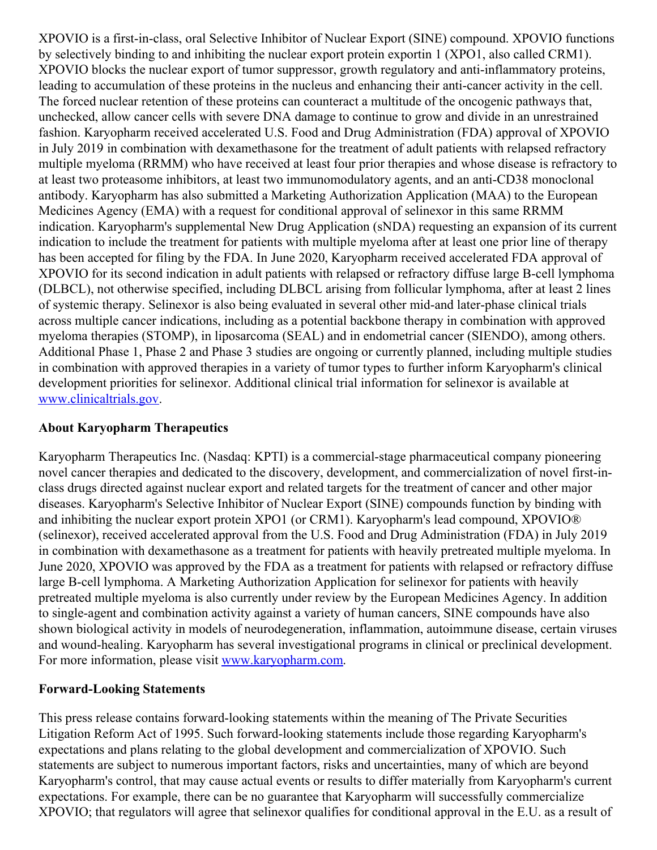XPOVIO is a first-in-class, oral Selective Inhibitor of Nuclear Export (SINE) compound. XPOVIO functions by selectively binding to and inhibiting the nuclear export protein exportin 1 (XPO1, also called CRM1). XPOVIO blocks the nuclear export of tumor suppressor, growth regulatory and anti-inflammatory proteins, leading to accumulation of these proteins in the nucleus and enhancing their anti-cancer activity in the cell. The forced nuclear retention of these proteins can counteract a multitude of the oncogenic pathways that, unchecked, allow cancer cells with severe DNA damage to continue to grow and divide in an unrestrained fashion. Karyopharm received accelerated U.S. Food and Drug Administration (FDA) approval of XPOVIO in July 2019 in combination with dexamethasone for the treatment of adult patients with relapsed refractory multiple myeloma (RRMM) who have received at least four prior therapies and whose disease is refractory to at least two proteasome inhibitors, at least two immunomodulatory agents, and an anti-CD38 monoclonal antibody. Karyopharm has also submitted a Marketing Authorization Application (MAA) to the European Medicines Agency (EMA) with a request for conditional approval of selinexor in this same RRMM indication. Karyopharm's supplemental New Drug Application (sNDA) requesting an expansion of its current indication to include the treatment for patients with multiple myeloma after at least one prior line of therapy has been accepted for filing by the FDA. In June 2020, Karyopharm received accelerated FDA approval of XPOVIO for its second indication in adult patients with relapsed or refractory diffuse large B-cell lymphoma (DLBCL), not otherwise specified, including DLBCL arising from follicular lymphoma, after at least 2 lines of systemic therapy. Selinexor is also being evaluated in several other mid-and later-phase clinical trials across multiple cancer indications, including as a potential backbone therapy in combination with approved myeloma therapies (STOMP), in liposarcoma (SEAL) and in endometrial cancer (SIENDO), among others. Additional Phase 1, Phase 2 and Phase 3 studies are ongoing or currently planned, including multiple studies in combination with approved therapies in a variety of tumor types to further inform Karyopharm's clinical development priorities for selinexor. Additional clinical trial information for selinexor is available at [www.clinicaltrials.gov](https://c212.net/c/link/?t=0&l=en&o=2901939-1&h=1079193657&u=http%3A%2F%2Fwww.clinicaltrials.gov%2F&a=www.clinicaltrials.gov).

#### **About Karyopharm Therapeutics**

Karyopharm Therapeutics Inc. (Nasdaq: KPTI) is a commercial-stage pharmaceutical company pioneering novel cancer therapies and dedicated to the discovery, development, and commercialization of novel first-inclass drugs directed against nuclear export and related targets for the treatment of cancer and other major diseases. Karyopharm's Selective Inhibitor of Nuclear Export (SINE) compounds function by binding with and inhibiting the nuclear export protein XPO1 (or CRM1). Karyopharm's lead compound, XPOVIO® (selinexor), received accelerated approval from the U.S. Food and Drug Administration (FDA) in July 2019 in combination with dexamethasone as a treatment for patients with heavily pretreated multiple myeloma. In June 2020, XPOVIO was approved by the FDA as a treatment for patients with relapsed or refractory diffuse large B-cell lymphoma. A Marketing Authorization Application for selinexor for patients with heavily pretreated multiple myeloma is also currently under review by the European Medicines Agency. In addition to single-agent and combination activity against a variety of human cancers, SINE compounds have also shown biological activity in models of neurodegeneration, inflammation, autoimmune disease, certain viruses and wound-healing. Karyopharm has several investigational programs in clinical or preclinical development. For more information, please visit [www.karyopharm.com](https://c212.net/c/link/?t=0&l=en&o=2901939-1&h=1686396939&u=http%3A%2F%2Fwww.karyopharm.com%2F&a=www.karyopharm.com).

#### **Forward-Looking Statements**

This press release contains forward-looking statements within the meaning of The Private Securities Litigation Reform Act of 1995. Such forward-looking statements include those regarding Karyopharm's expectations and plans relating to the global development and commercialization of XPOVIO. Such statements are subject to numerous important factors, risks and uncertainties, many of which are beyond Karyopharm's control, that may cause actual events or results to differ materially from Karyopharm's current expectations. For example, there can be no guarantee that Karyopharm will successfully commercialize XPOVIO; that regulators will agree that selinexor qualifies for conditional approval in the E.U. as a result of